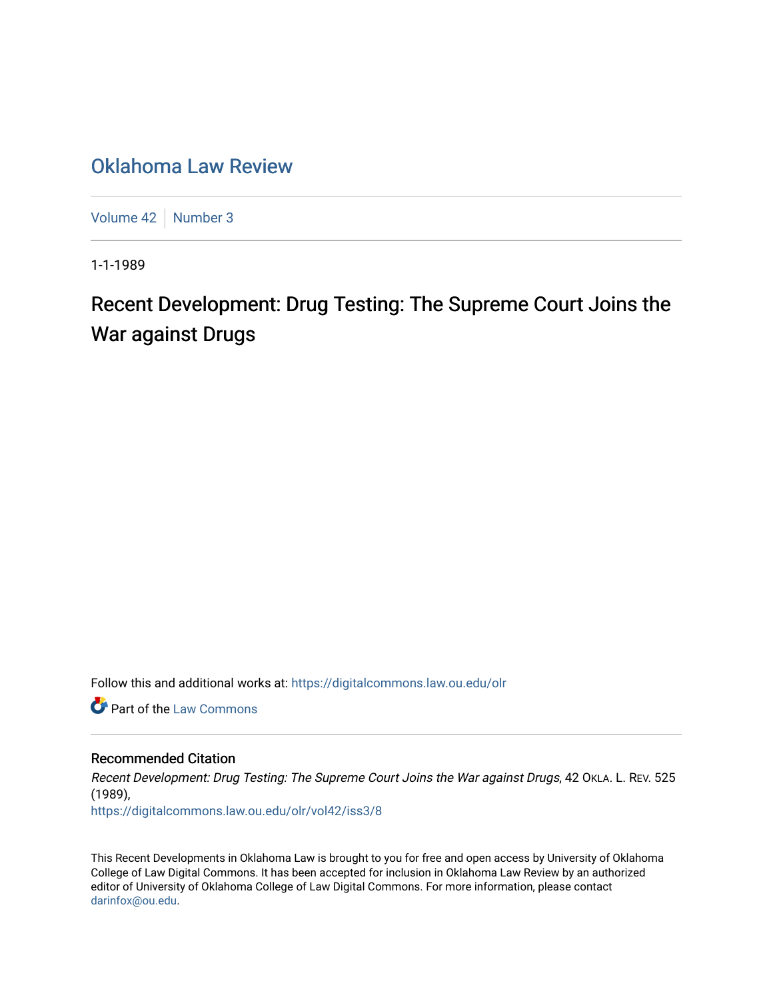## [Oklahoma Law Review](https://digitalcommons.law.ou.edu/olr)

[Volume 42](https://digitalcommons.law.ou.edu/olr/vol42) | [Number 3](https://digitalcommons.law.ou.edu/olr/vol42/iss3)

1-1-1989

# Recent Development: Drug Testing: The Supreme Court Joins the War against Drugs

Follow this and additional works at: [https://digitalcommons.law.ou.edu/olr](https://digitalcommons.law.ou.edu/olr?utm_source=digitalcommons.law.ou.edu%2Folr%2Fvol42%2Fiss3%2F8&utm_medium=PDF&utm_campaign=PDFCoverPages)

**Part of the [Law Commons](http://network.bepress.com/hgg/discipline/578?utm_source=digitalcommons.law.ou.edu%2Folr%2Fvol42%2Fiss3%2F8&utm_medium=PDF&utm_campaign=PDFCoverPages)** 

#### Recommended Citation

Recent Development: Drug Testing: The Supreme Court Joins the War against Drugs, 42 OKLA. L. REV. 525 (1989),

[https://digitalcommons.law.ou.edu/olr/vol42/iss3/8](https://digitalcommons.law.ou.edu/olr/vol42/iss3/8?utm_source=digitalcommons.law.ou.edu%2Folr%2Fvol42%2Fiss3%2F8&utm_medium=PDF&utm_campaign=PDFCoverPages) 

This Recent Developments in Oklahoma Law is brought to you for free and open access by University of Oklahoma College of Law Digital Commons. It has been accepted for inclusion in Oklahoma Law Review by an authorized editor of University of Oklahoma College of Law Digital Commons. For more information, please contact [darinfox@ou.edu](mailto:darinfox@ou.edu).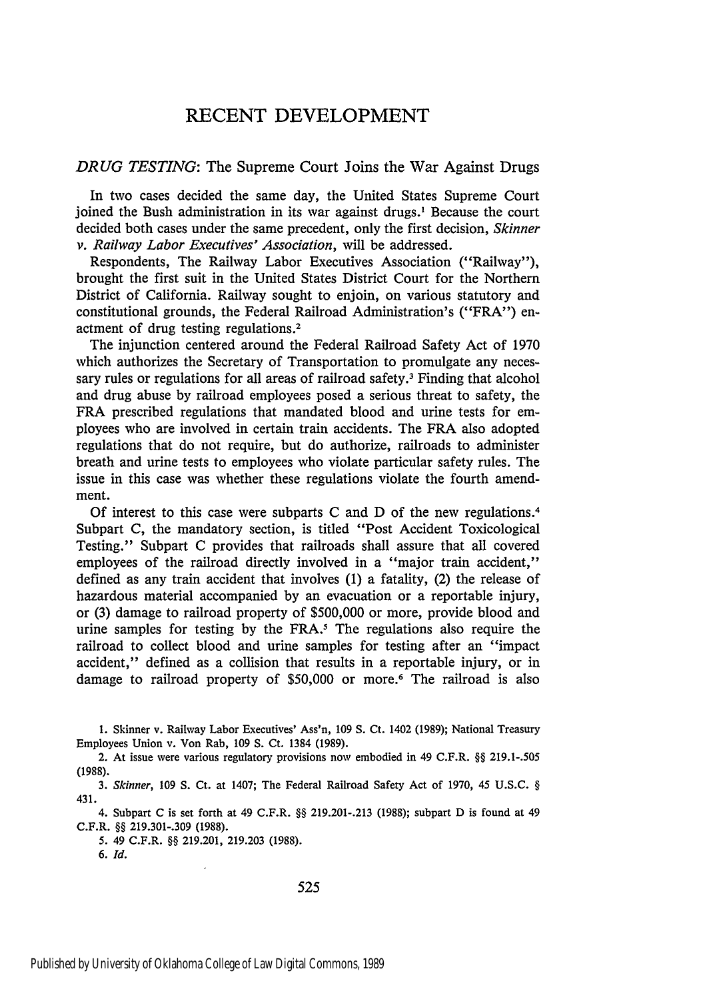### RECENT DEVELOPMENT

#### *DRUG TESTING:* The Supreme Court Joins the War Against Drugs

In two cases decided the same day, the United States Supreme Court joined the Bush administration in its war against drugs.' Because the court decided both cases under the same precedent, only the first decision, *Skinner v. Railway Labor Executives' Association,* will be addressed.

Respondents, The Railway Labor Executives Association ("Railway"), brought the first suit in the United States District Court for the Northern District of California. Railway sought to enjoin, on various statutory and constitutional grounds, the Federal Railroad Administration's ("FRA") enactment of drug testing regulations.<sup>2</sup>

The injunction centered around the Federal Railroad Safety Act of 1970 which authorizes the Secretary of Transportation to promulgate any necessary rules or regulations for all areas of railroad safety.<sup>3</sup> Finding that alcohol and drug abuse by railroad employees posed a serious threat to safety, the FRA prescribed regulations that mandated blood and urine tests for employees who are involved in certain train accidents. The FRA also adopted regulations that do not require, but do authorize, railroads to administer breath and urine tests to employees who violate particular safety rules. The issue in this case was whether these regulations violate the fourth amendment.

Of interest to this case were subparts C and D of the new regulations. <sup>4</sup> Subpart C, the mandatory section, is titled "Post Accident Toxicological Testing." Subpart C provides that railroads shall assure that all covered employees of the railroad directly involved in a "major train accident," defined as any train accident that involves **(1)** a fatality, (2) the release of hazardous material accompanied by an evacuation or a reportable injury, or (3) damage to railroad property of \$500,000 or more, provide blood and urine samples for testing by the FRA.5 The regulations also require the railroad to collect blood and urine samples for testing after an "impact accident," defined as a collision that results in a reportable injury, or in damage to railroad property of \$50,000 or more.<sup>6</sup> The railroad is also

4. Subpart C is set forth at 49 C.F.R. *§§* 219.201-.213 (1988); subpart D is found at 49 C.F.R. *§§* 219.301-.309 (1988).

*5.* 49 C.F.R. *§§* 219.201, 219.203 (1988).

6. Id.

**<sup>1.</sup>** Skinner v. Railway Labor Executives' Ass'n, **109 S.** Ct. 1402 (1989); National Treasury Employees Union v. Von Rab, **109 S.** Ct. 1384 (1989).

<sup>2.</sup> At issue were various regulatory provisions now embodied in 49 C.F.R. *§§* 219.1-.505 (1988).

<sup>3.</sup> Skinner, *109* **S.** Ct. at 1407; The Federal Railroad Safety Act of **1970,** 45 U.S.C. *§* 431.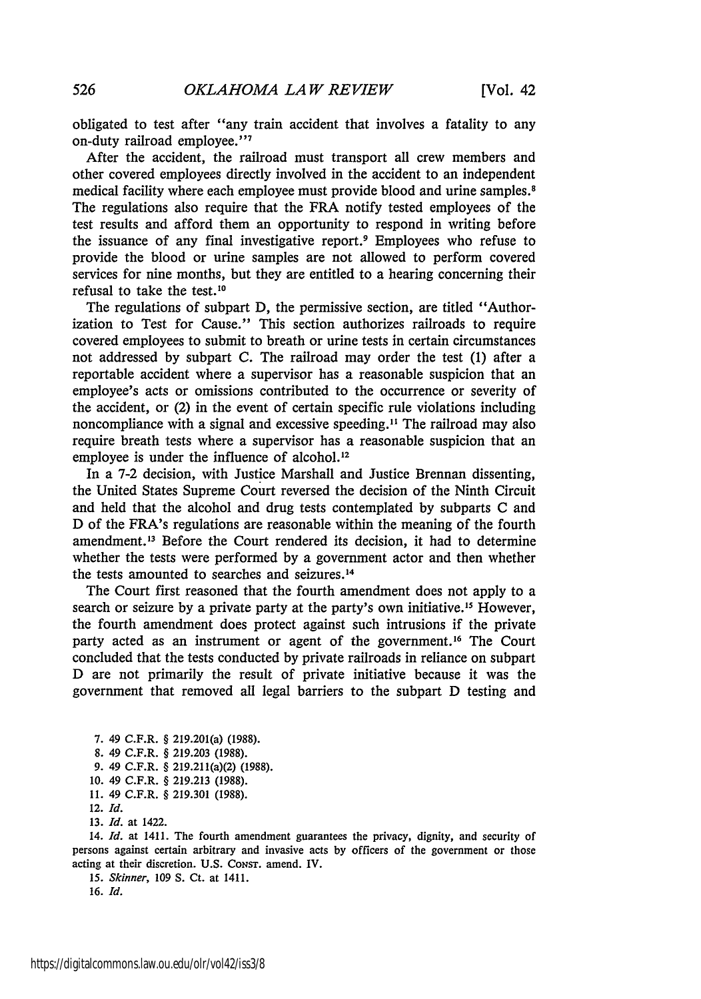obligated to test after "any train accident that involves a fatality to any on-duty railroad employee."'

After the accident, the railroad must transport all crew members and other covered employees directly involved in the accident to an independent medical facility where each employee must provide blood and urine samples.8 The regulations also require that the FRA notify tested employees of the test results and afford them an opportunity to respond in writing before the issuance of any final investigative report.9 Employees who refuse to provide the blood or urine samples are not allowed to perform covered services for nine months, but they are entitled to a hearing concerning their refusal to take the test.10

The regulations of subpart D, the permissive section, are titled "Authorization to Test for Cause." This section authorizes railroads to require covered employees to submit to breath or urine tests in certain circumstances not addressed by subpart C. The railroad may order the test (1) after a reportable accident where a supervisor has a reasonable suspicion that an employee's acts or omissions contributed to the occurrence or severity of the accident, or (2) in the event of certain specific rule violations including noncompliance with a signal and excessive speeding.<sup>11</sup> The railroad may also require breath tests where a supervisor has a reasonable suspicion that an employee is under the influence of alcohol.<sup>12</sup>

In a 7-2 decision, with Justice Marshall and Justice Brennan dissenting, the United States Supreme Court reversed the decision of the Ninth Circuit and held that the alcohol and drug tests contemplated by subparts C and D of the FRA's regulations are reasonable within the meaning of the fourth amendment.<sup>13</sup> Before the Court rendered its decision, it had to determine whether the tests were performed by a government actor and then whether the tests amounted to searches and seizures.<sup>14</sup>

The Court first reasoned that the fourth amendment does not apply to a search or seizure by a private party at the party's own initiative.<sup>15</sup> However, the fourth amendment does protect against such intrusions if the private party acted as an instrument or agent of the government.<sup>16</sup> The Court concluded that the tests conducted by private railroads in reliance on subpart D are not primarily the result of private initiative because it was the government that removed all legal barriers to the subpart D testing and

7. 49 C.F.R. § 219.201(a) (1988). 8. 49 C.F.R. § 219.203 (1988).

- 9. 49 C.F.R. § 219.211(a)(2) (1988).
- 10. 49 C.F.R. § 219.213 (1988).
- 11. 49 C.F.R. § 219.301 (1988).

12. **Id.**

13. **Id.** at 1422.

14. *Id.* at 1411. The fourth amendment guarantees the privacy, dignity, and security of persons against certain arbitrary and invasive acts by officers of the government or those acting at their discretion. U.S. **CONST.** amend. IV.

15. Skinner, 109 S. Ct. at 1411.

16. Id.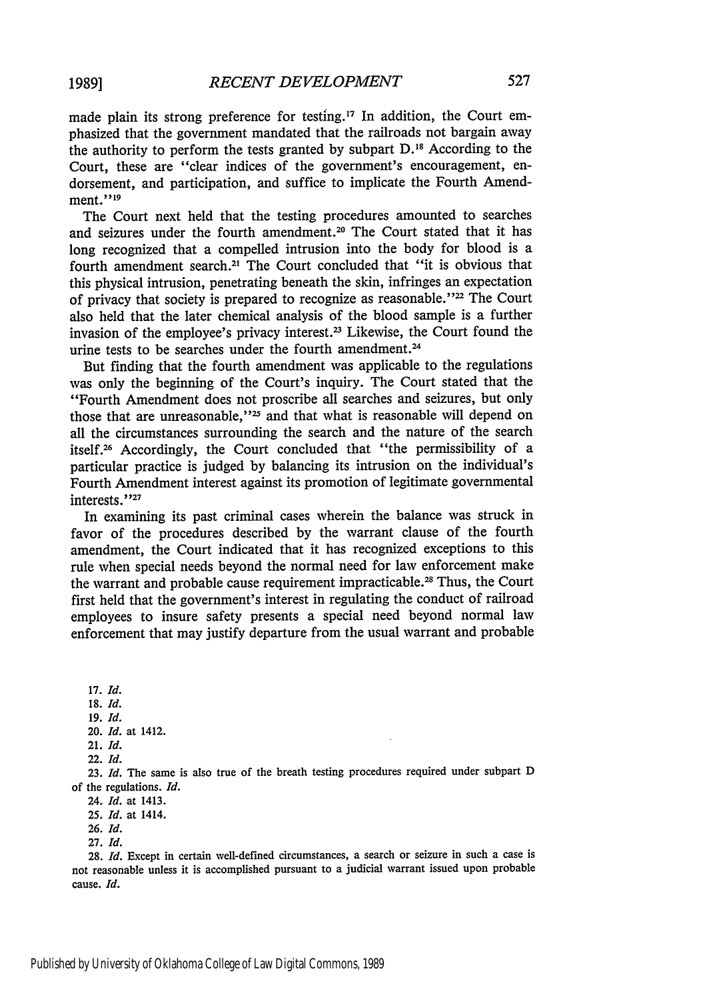made plain its strong preference for testing.<sup>17</sup> In addition, the Court emphasized that the government mandated that the railroads not bargain away the authority to perform the tests granted by subpart D.<sup>18</sup> According to the Court, these are "clear indices of the government's encouragement, endorsement, and participation, and suffice to implicate the Fourth Amendment."<sup>19</sup>

The Court next held that the testing procedures amounted to searches and seizures under the fourth amendment.<sup>20</sup> The Court stated that it has long recognized that a compelled intrusion into the body for blood is a fourth amendment search.<sup>21</sup> The Court concluded that "it is obvious that this physical intrusion, penetrating beneath the skin, infringes an expectation of privacy that society is prepared to recognize as reasonable."<sup>22</sup> The Court also held that the later chemical analysis of the blood sample is a further invasion of the employee's privacy interest.<sup>23</sup> Likewise, the Court found the urine tests to be searches under the fourth amendment.<sup>24</sup>

But finding that the fourth amendment was applicable to the regulations was only the beginning of the Court's inquiry. The Court stated that the "Fourth Amendment does not proscribe all searches and seizures, but only those that are unreasonable,"<sup>25</sup> and that what is reasonable will depend on all the circumstances surrounding the search and the nature of the search itself.26 Accordingly, the Court concluded that "the permissibility of a particular practice is judged by balancing its intrusion on the individual's Fourth Amendment interest against its promotion of legitimate governmental interests."27

In examining its past criminal cases wherein the balance was struck in favor of the procedures described by the warrant clause of the fourth amendment, the Court indicated that it has recognized exceptions to this rule when special needs beyond the normal need for law enforcement make the warrant and probable cause requirement impracticable.<sup>28</sup> Thus, the Court first held that the government's interest in regulating the conduct of railroad employees to insure safety presents a special need beyond normal law enforcement that may justify departure from the usual warrant and probable

**17.** Id. 18. **Id. 19. Id.** 20. **Id.** at 1412.

21. **Id.**

22. Id.

23. *Id.* The same is also true of the breath testing procedures required under subpart D of the regulations. **Id.**

24. **Id.** at 1413.

25. *Id.* at 1414.

**26.** *Id.*

**27. Id.**

28. *Id.* Except in certain well-defined circumstances, a search or seizure in such a case is not reasonable unless it is accomplished pursuant to a judicial warrant issued upon probable cause. **Id.**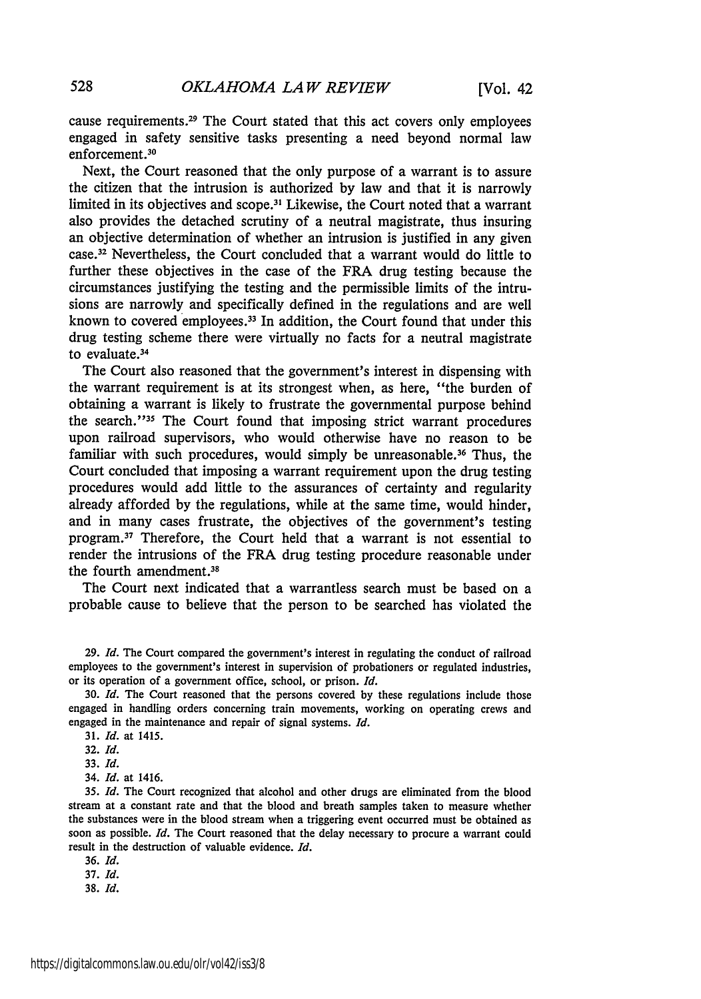cause requirements. 29 The Court stated that this act covers only employees engaged in safety sensitive tasks presenting a need beyond normal law enforcement.30

Next, the Court reasoned that the only purpose of a warrant is to assure the citizen that the intrusion is authorized by law and that it is narrowly limited in its objectives and scope.<sup>31</sup> Likewise, the Court noted that a warrant also provides the detached scrutiny of a neutral magistrate, thus insuring an objective determination of whether an intrusion is justified in any given case.32 Nevertheless, the Court concluded that a warrant would do little to further these objectives in the case of the FRA drug testing because the circumstances justifying the testing and the permissible limits of the intrusions are narrowly and specifically defined in the regulations and are well known to covered employees.33 In addition, the Court found that under this drug testing scheme there were virtually no facts for a neutral magistrate to evaluate.<sup>34</sup>

The Court also reasoned that the government's interest in dispensing with the warrant requirement is at its strongest when, as here, "the burden of obtaining a warrant is likely to frustrate the governmental purpose behind the search.'35 The Court found that imposing strict warrant procedures upon railroad supervisors, who would otherwise have no reason to be familiar with such procedures, would simply be unreasonable.<sup>36</sup> Thus, the Court concluded that imposing a warrant requirement upon the drug testing procedures would add little to the assurances of certainty and regularity already afforded by the regulations, while at the same time, would hinder, and in many cases frustrate, the objectives of the government's testing program.<sup>37</sup> Therefore, the Court held that a warrant is not essential to render the intrusions of the FRA drug testing procedure reasonable under the fourth amendment. <sup>38</sup>

The Court next indicated that a warrantless search must be based on a probable cause to believe that the person to be searched has violated the

29. *Id.* The Court compared the government's interest in regulating the conduct of railroad employees to the government's interest in supervision of probationers or regulated industries, or its operation of a government office, school, or prison. *Id.*

30. *Id.* The Court reasoned that the persons covered by these regulations include those engaged in handling orders concerning train movements, working on operating crews and engaged in the maintenance and repair of signal systems. *Id.*

- 31. *Id.* at 1415.
- 32. *Id.*
- 33. *Id.*
- 34. **Id.** at 1416.

35. **Id.** The Court recognized that alcohol and other drugs are eliminated from the blood stream at a constant rate and that the blood and breath samples taken to measure whether the substances were in the blood stream when a triggering event occurred must be obtained as soon as possible. *Id.* The Court reasoned that the delay necessary to procure a warrant could result in the destruction of valuable evidence. *Id.*

*36. Id.*

37. *Id.*

**38.** *Id.*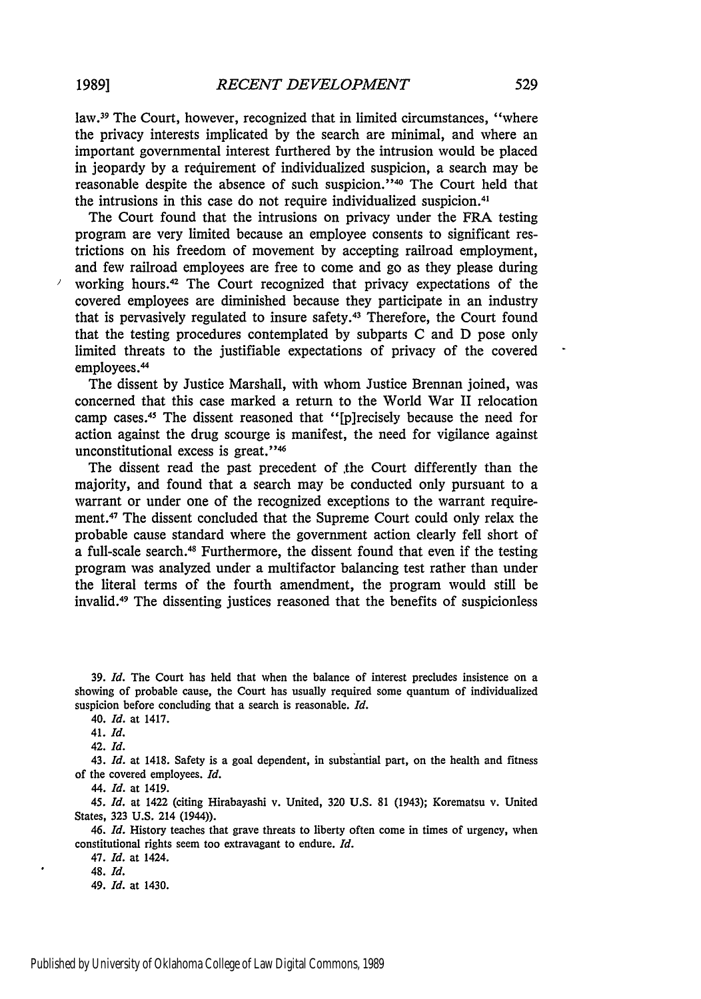law.<sup>39</sup> The Court, however, recognized that in limited circumstances, "where the privacy interests implicated by the search are minimal, and where an important governmental interest furthered by the intrusion would be placed in jeopardy by a requirement of individualized suspicion, a search may be reasonable despite the absence of such suspicion."<sup>40</sup> The Court held that the intrusions in this case do not require individualized suspicion.41

The Court found that the intrusions on privacy under the FRA testing program are very limited because an employee consents to significant restrictions on his freedom of movement by accepting railroad employment, and few railroad employees are free to come and go as they please during working hours.42 The Court recognized that privacy expectations of the covered employees are diminished because they participate in an industry that is pervasively regulated to insure safety.43 Therefore, the Court found that the testing procedures contemplated by subparts C and D pose only limited threats to the justifiable expectations of privacy of the covered employees.44

The dissent by Justice Marshall, with whom Justice Brennan joined, was concerned that this case marked a return to the World War II relocation camp cases.<sup>45</sup> The dissent reasoned that "[p]recisely because the need for action against the drug scourge is manifest, the need for vigilance against unconstitutional excess is great."<sup>46</sup>

The dissent read the past precedent of the Court differently than the majority, and found that a search may be conducted only pursuant to a warrant or under one of the recognized exceptions to the warrant requirement.47 The dissent concluded that the Supreme Court could only relax the probable cause standard where the government action clearly fell short of a full-scale search.<sup>48</sup> Furthermore, the dissent found that even if the testing program was analyzed under a multifactor balancing test rather than under the literal terms of the fourth amendment, the program would still be invalid. 49 The dissenting justices reasoned that the benefits of suspicionless

43. *Id.* at 1418. Safety is a goal dependent, in substantial part, on the health and fitness of the covered employees. *Id.*

44. *Id.* at 1419.

*45. Id.* at 1422 (citing Hirabayashi v. United, 320 **U.S.** 81 (1943); Korematsu v. United States, 323 U.S. 214 (1944)).

*46. Id.* History teaches that grave threats to liberty often come in times of urgency, when constitutional rights seem too extravagant to endure. *Id.*

47. *Id.* at 1424.

48. *Id.*

49. *Id.* at 1430.

**<sup>39.</sup>** *Id.* The Court has held that when the balance of interest precludes insistence on a showing of probable cause, the Court has usually required some quantum of individualized suspicion before concluding that a search is reasonable. *Id.*

<sup>40.</sup> *Id.* at 1417.

<sup>41.</sup> *Id.*

<sup>42.</sup> *Id.*